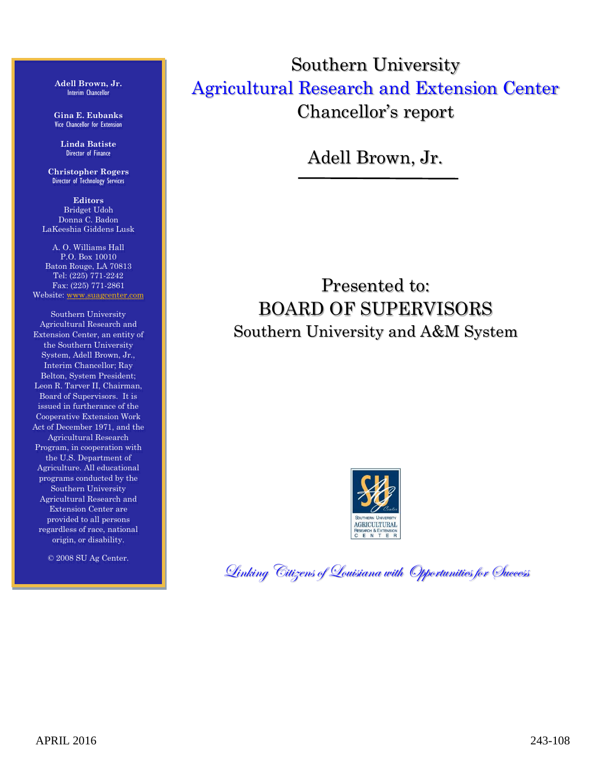**Adell Brown, Jr.** Interim Chancellor

**Gina E. Eubanks** Vice Chancellor for Extension

**Linda Batiste** Director of Finance

**Christopher Rogers** Director of Technology Services

**Editors** Bridget Udoh Donna C. Badon LaKeeshia Giddens Lusk

A. O. Williams Hall P.O. Box 10010 Baton Rouge, LA 70813 Tel: (225) 771-2242 Fax: (225) 771-2861 Website: [www.suagcenter.com](http://www.suagcenter.com/)

Southern University Agricultural Research and Extension Center, an entity of the Southern University System, Adell Brown, Jr., Interim Chancellor; Ray Belton, System President; Leon R. Tarver II, Chairman, Board of Supervisors. It is issued in furtherance of the Cooperative Extension Work Act of December 1971, and the Agricultural Research Program, in cooperation with the U.S. Department of Agriculture. All educational programs conducted by the Southern University Agricultural Research and Extension Center are provided to all persons regardless of race, national origin, or disability.

© 2008 SU Ag Center.

Southern University Agricultural Research and Extension Center Chancellor's report

Adell Brown, Jr.

Presented to: BOARD OF SUPERVISORS Southern University and A&M System



Linking Citizens of Louisiana with Opportunities for Success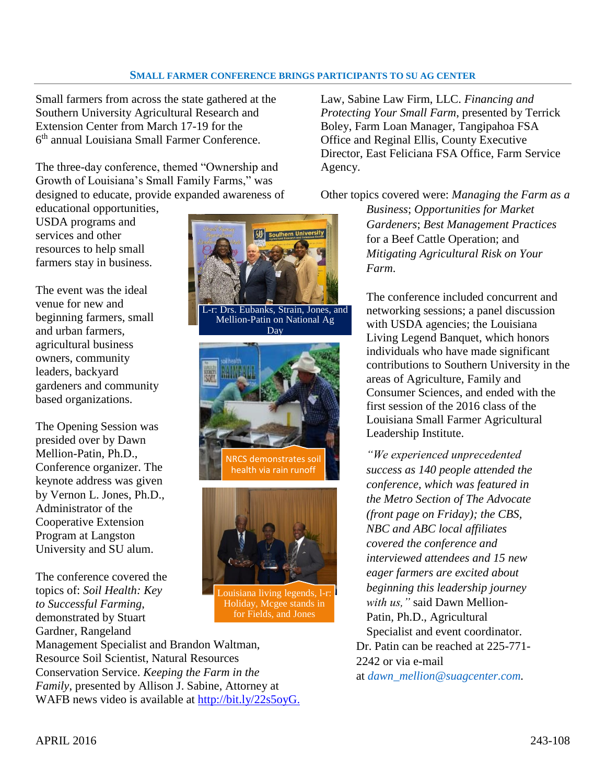#### **SMALL FARMER CONFERENCE BRINGS PARTICIPANTS TO SU AG CENTER**

Small farmers from across the state gathered at the Southern University Agricultural Research and Extension Center from March 17-19 for the 6 th annual Louisiana Small Farmer Conference.

The three-day conference, themed "Ownership and Growth of Louisiana's Small Family Farms," was designed to educate, provide expanded awareness of

educational opportunities, USDA programs and services and other resources to help small farmers stay in business.

The event was the ideal venue for new and beginning farmers, small and urban farmers, agricultural business owners, community leaders, backyard gardeners and community based organizations.

The Opening Session was presided over by Dawn Mellion-Patin, Ph.D., Conference organizer. The keynote address was given by Vernon L. Jones, Ph.D., Administrator of the Cooperative Extension Program at Langston University and SU alum.

The conference covered the topics of: *Soil Health: Key to Successful Farming*, demonstrated by Stuart Gardner, Rangeland



Day





puisiana living legends, l-r: Holiday, Mcgee stands in for Fields, and Jones

Management Specialist and Brandon Waltman, Resource Soil Scientist, Natural Resources Conservation Service. *Keeping the Farm in the Family*, presented by Allison J. Sabine, Attorney at WAFB news video is available at [http://bit.ly/22s5oyG.](http://bit.ly/22s5oyG) Law, Sabine Law Firm, LLC. *Financing and Protecting Your Small Farm*, presented by Terrick Boley, Farm Loan Manager, Tangipahoa FSA Office and Reginal Ellis, County Executive Director, East Feliciana FSA Office, Farm Service Agency.

Other topics covered were: *Managing the Farm as a* 

*Business*; *Opportunities for Market Gardeners*; *Best Management Practices* for a Beef Cattle Operation; and *Mitigating Agricultural Risk on Your Farm*.

The conference included concurrent and networking sessions; a panel discussion with USDA agencies; the Louisiana Living Legend Banquet, which honors individuals who have made significant contributions to Southern University in the areas of Agriculture, Family and Consumer Sciences, and ended with the first session of the 2016 class of the Louisiana Small Farmer Agricultural Leadership Institute.

*"We experienced unprecedented success as 140 people attended the conference, which was featured in the Metro Section of The Advocate (front page on Friday); the CBS, NBC and ABC local affiliates covered the conference and interviewed attendees and 15 new eager farmers are excited about beginning this leadership journey with us,"* said Dawn Mellion-Patin, Ph.D., Agricultural Specialist and event coordinator. Dr. Patin can be reached at 225-771- 2242 or via e-mail at *dawn\_mellion@suagcenter.com.*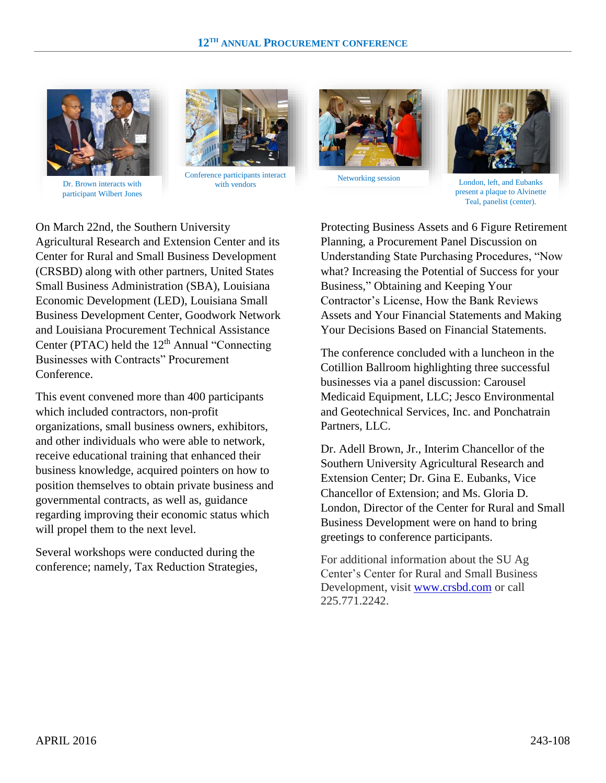

Dr. Brown interacts with with with with vendors participant Wilbert Jones



Conference participants interact





Networking session London, left, and Eubanks present a plaque to Alvinette Teal, panelist (center).

On March 22nd, the Southern University Agricultural Research and Extension Center and its Center for Rural and Small Business Development (CRSBD) along with other partners, United States Small Business Administration (SBA), Louisiana Economic Development (LED), Louisiana Small Business Development Center, Goodwork Network and Louisiana Procurement Technical Assistance Center (PTAC) held the  $12<sup>th</sup>$  Annual "Connecting" Businesses with Contracts" Procurement **Conference** 

This event convened more than 400 participants which included contractors, non-profit organizations, small business owners, exhibitors, and other individuals who were able to network, receive educational training that enhanced their business knowledge, acquired pointers on how to position themselves to obtain private business and governmental contracts, as well as, guidance regarding improving their economic status which will propel them to the next level.

Several workshops were conducted during the conference; namely, Tax Reduction Strategies, Protecting Business Assets and 6 Figure Retirement Planning, a Procurement Panel Discussion on Understanding State Purchasing Procedures, "Now what? Increasing the Potential of Success for your Business," Obtaining and Keeping Your Contractor's License, How the Bank Reviews Assets and Your Financial Statements and Making Your Decisions Based on Financial Statements.

The conference concluded with a luncheon in the Cotillion Ballroom highlighting three successful businesses via a panel discussion: Carousel Medicaid Equipment, LLC; Jesco Environmental and Geotechnical Services, Inc. and Ponchatrain Partners, LLC.

Dr. Adell Brown, Jr., Interim Chancellor of the Southern University Agricultural Research and Extension Center; Dr. Gina E. Eubanks, Vice Chancellor of Extension; and Ms. Gloria D. London, Director of the Center for Rural and Small Business Development were on hand to bring greetings to conference participants.

For additional information about the SU Ag Center's Center for Rural and Small Business Development, visit [www.crsbd.com](http://www.crsbd.com/) or call 225.771.2242.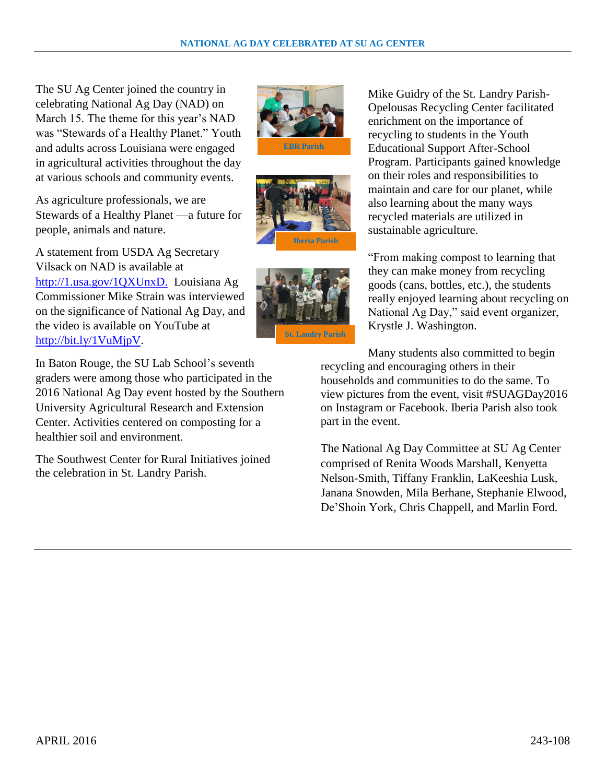The SU Ag Center joined the country in celebrating National Ag Day (NAD) on March 15. The theme for this year's NAD was "Stewards of a Healthy Planet." Youth and adults across Louisiana were engaged in agricultural activities throughout the day at various schools and community events.

As agriculture professionals, we are Stewards of a Healthy Planet —a future for people, animals and nature.

A statement from USDA Ag Secretary Vilsack on NAD is available at [http://1.usa.gov/1QXUnxD.](http://1.usa.gov/1QXUnxD) Louisiana Ag Commissioner Mike Strain was interviewed on the significance of National Ag Day, and the video is available on YouTube at [http://bit.ly/1VuMjpV.](http://bit.ly/1VuMjpV)

In Baton Rouge, the SU Lab School's seventh graders were among those who participated in the 2016 National Ag Day event hosted by the Southern University Agricultural Research and Extension Center. Activities centered on composting for a healthier soil and environment.

The Southwest Center for Rural Initiatives joined the celebration in St. Landry Parish.







Mike Guidry of the St. Landry Parish-Opelousas Recycling Center facilitated enrichment on the importance of recycling to students in the Youth Educational Support After-School Program. Participants gained knowledge on their roles and responsibilities to maintain and care for our planet, while also learning about the many ways recycled materials are utilized in sustainable agriculture.

"From making compost to learning that they can make money from recycling goods (cans, bottles, etc.), the students really enjoyed learning about recycling on National Ag Day," said event organizer, Krystle J. Washington.

Many students also committed to begin recycling and encouraging others in their households and communities to do the same. To view pictures from the event, visit #SUAGDay2016 on Instagram or Facebook. Iberia Parish also took part in the event.

The National Ag Day Committee at SU Ag Center comprised of Renita Woods Marshall, Kenyetta Nelson-Smith, Tiffany Franklin, LaKeeshia Lusk, Janana Snowden, Mila Berhane, Stephanie Elwood, De'Shoin York, Chris Chappell, and Marlin Ford.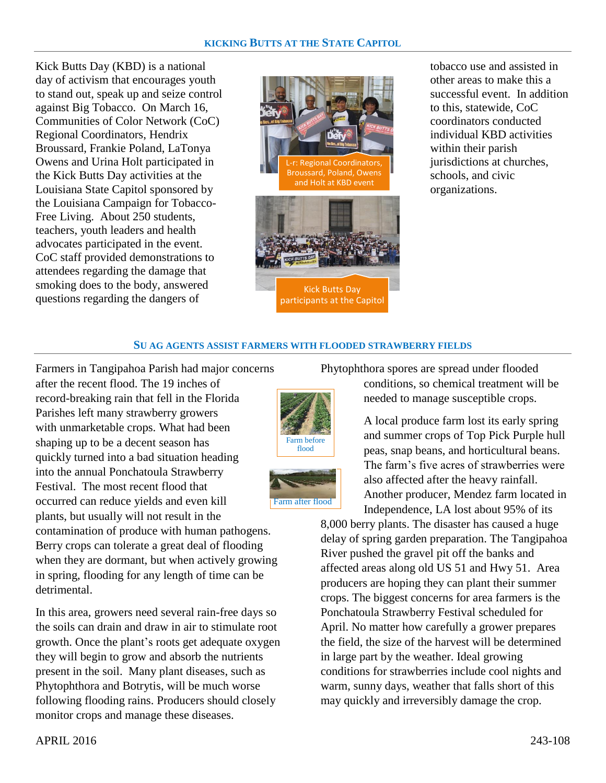Kick Butts Day (KBD) is a national day of activism that encourages youth to stand out, speak up and seize control against Big Tobacco. On March 16, Communities of Color Network (CoC) Regional Coordinators, Hendrix Broussard, Frankie Poland, LaTonya Owens and Urina Holt participated in the Kick Butts Day activities at the Louisiana State Capitol sponsored by the Louisiana Campaign for Tobacco-Free Living. About 250 students, teachers, youth leaders and health advocates participated in the event. CoC staff provided demonstrations to attendees regarding the damage that smoking does to the body, answered questions regarding the dangers of



tobacco use and assisted in other areas to make this a successful event. In addition to this, statewide, CoC coordinators conducted individual KBD activities within their parish jurisdictions at churches, schools, and civic organizations.

#### **SU AG AGENTS ASSIST FARMERS WITH FLOODED STRAWBERRY FIELDS**

Farmers in Tangipahoa Parish had major concerns after the recent flood. The 19 inches of record-breaking rain that fell in the Florida Parishes left many strawberry growers with unmarketable crops. What had been shaping up to be a decent season has quickly turned into a bad situation heading into the annual Ponchatoula Strawberry Festival. The most recent flood that occurred can reduce yields and even kill plants, but usually will not result in the

contamination of produce with human pathogens. Berry crops can tolerate a great deal of flooding when they are dormant, but when actively growing in spring, flooding for any length of time can be detrimental.

In this area, growers need several rain-free days so the soils can drain and draw in air to stimulate root growth. Once the plant's roots get adequate oxygen they will begin to grow and absorb the nutrients present in the soil. Many plant diseases, such as Phytophthora and Botrytis, will be much worse following flooding rains. Producers should closely monitor crops and manage these diseases.

Phytophthora spores are spread under flooded conditions, so chemical treatment will be

needed to manage susceptible crops.



Farm after flood

A local produce farm lost its early spring and summer crops of Top Pick Purple hull peas, snap beans, and horticultural beans. The farm's five acres of strawberries were also affected after the heavy rainfall. Another producer, Mendez farm located in Independence, LA lost about 95% of its

8,000 berry plants. The disaster has caused a huge delay of spring garden preparation. The Tangipahoa River pushed the gravel pit off the banks and affected areas along old US 51 and Hwy 51. Area producers are hoping they can plant their summer crops. The biggest concerns for area farmers is the Ponchatoula Strawberry Festival scheduled for April. No matter how carefully a grower prepares the field, the size of the harvest will be determined in large part by the weather. Ideal growing conditions for strawberries include cool nights and warm, sunny days, weather that falls short of this may quickly and irreversibly damage the crop.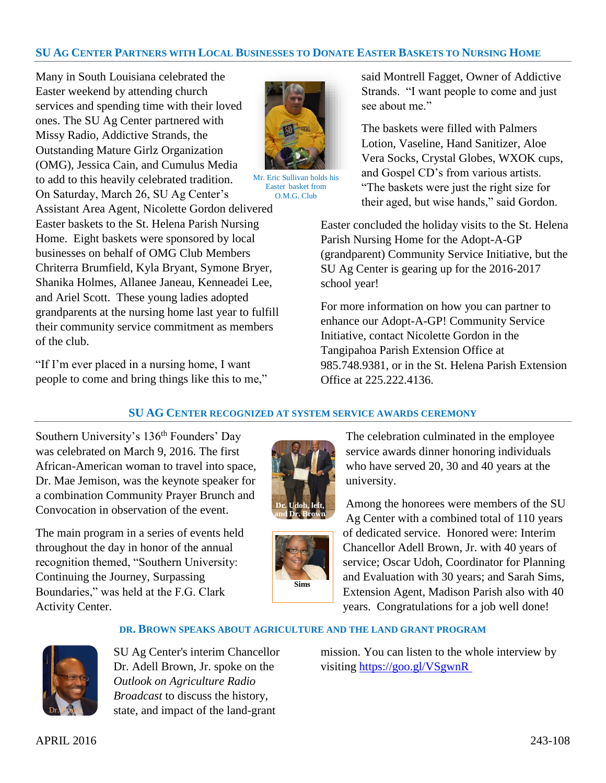## SU AG CENTER PARTNERS WITH LOCAL BUSINESSES TO DONATE EASTER BASKETS TO NURSING HOME

Many in South Louisiana celebrated the Easter weekend by attending church services and spending time with their loved ones. The SU Ag Center partnered with Missy Radio, Addictive Strands, the Outstanding Mature Girlz Organization (OMG), Jessica Cain, and Cumulus Media to add to this heavily celebrated tradition. On Saturday, March 26, SU Ag Center's Assistant Area Agent, Nicolette Gordon delivered Easter baskets to the St. Helena Parish Nursing Home. Eight baskets were sponsored by local businesses on behalf of OMG Club Members Chriterra Brumfield, Kyla Bryant, Symone Bryer, Shanika Holmes, Allanee Janeau, Kenneadei Lee, and Ariel Scott. These young ladies adopted grandparents at the nursing home last year to fulfill their community service commitment as members

"If I'm ever placed in a nursing home, I want people to come and bring things like this to me,"



Mr. Eric Sullivan holds his Easter basket from O.M.G. Club

said Montrell Fagget, Owner of Addictive Strands. "I want people to come and just see about me."

The baskets were filled with Palmers Lotion, Vaseline, Hand Sanitizer, Aloe Vera Socks, Crystal Globes, WXOK cups, and Gospel CD's from various artists. "The baskets were just the right size for their aged, but wise hands," said Gordon.

Easter concluded the holiday visits to the St. Helena Parish Nursing Home for the Adopt-A-GP (grandparent) Community Service Initiative, but the SU Ag Center is gearing up for the 2016-2017 school year!

For more information on how you can partner to enhance our Adopt-A-GP! Community Service Initiative, contact Nicolette Gordon in the Tangipahoa Parish Extension Office at 985.748.9381, or in the St. Helena Parish Extension Office at 225.222.4136.

#### **SU AG CENTER RECOGNIZED AT SYSTEM SERVICE AWARDS CEREMONY**

Southern University's 136<sup>th</sup> Founders' Day was celebrated on March 9, 2016. The first African-American woman to travel into space, Dr. Mae Jemison, was the keynote speaker for a combination Community Prayer Brunch and Convocation in observation of the event.

The main program in a series of events held throughout the day in honor of the annual recognition themed, "Southern University: Continuing the Journey, Surpassing Boundaries," was held at the F.G. Clark Activity Center.





The celebration culminated in the employee service awards dinner honoring individuals who have served 20, 30 and 40 years at the university.

Among the honorees were members of the SU Ag Center with a combined total of 110 years of dedicated service. Honored were: Interim Chancellor Adell Brown, Jr. with 40 years of service; Oscar Udoh, Coordinator for Planning and Evaluation with 30 years; and Sarah Sims, Extension Agent, Madison Parish also with 40 years. Congratulations for a job well done!

#### **DR. BROWN SPEAKS ABOUT AGRICULTURE AND THE LAND GRANT PROGRAM**



of the club.

SU Ag Center's interim Chancellor Dr. Adell Brown, Jr. spoke on the *Outlook on Agriculture Radio Broadcast* to discuss the history, state, and impact of the land-grant

mission. You can listen to the whole interview by visiting [https://goo.gl/VSgwnR](https://t.co/coxkLO59KY)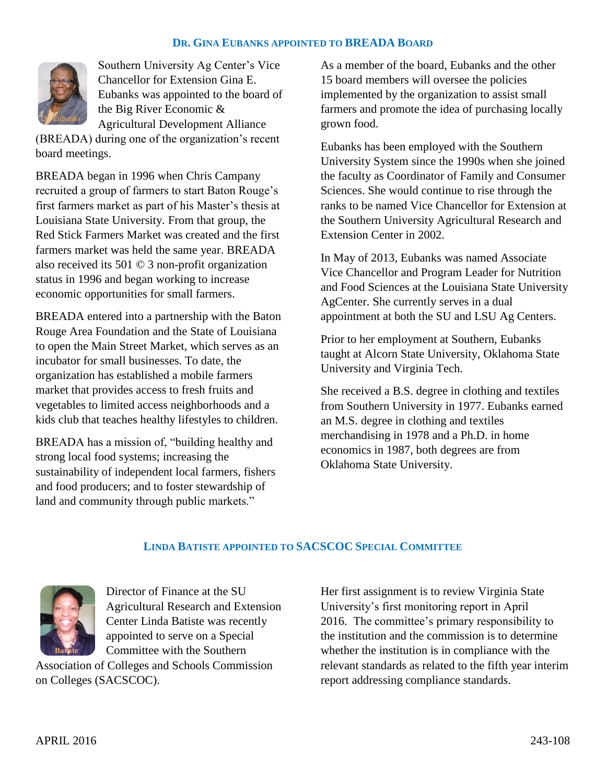## **DR. GINA EUBANKS APPOINTED TO BREADA BOARD**



Southern University Ag Center's Vice Chancellor for Extension Gina E. Eubanks was appointed to the board of the Big River Economic & Agricultural Development Alliance

(BREADA) during one of the organization's recent board meetings.

BREADA began in 1996 when Chris Campany recruited a group of farmers to start Baton Rouge's first farmers market as part of his Master's thesis at Louisiana State University. From that group, the Red Stick Farmers Market was created and the first farmers market was held the same year. BREADA also received its 501 © 3 non-profit organization status in 1996 and began working to increase economic opportunities for small farmers.

BREADA entered into a partnership with the Baton Rouge Area Foundation and the State of Louisiana to open the Main Street Market, which serves as an incubator for small businesses. To date, the organization has established a mobile farmers market that provides access to fresh fruits and vegetables to limited access neighborhoods and a kids club that teaches healthy lifestyles to children.

BREADA has a mission of, "building healthy and strong local food systems; increasing the sustainability of independent local farmers, fishers and food producers; and to foster stewardship of land and community through public markets."

As a member of the board, Eubanks and the other 15 board members will oversee the policies implemented by the organization to assist small farmers and promote the idea of purchasing locally grown food.

Eubanks has been employed with the Southern University System since the 1990s when she joined the faculty as Coordinator of Family and Consumer Sciences. She would continue to rise through the ranks to be named Vice Chancellor for Extension at the Southern University Agricultural Research and Extension Center in 2002.

In May of 2013, Eubanks was named Associate Vice Chancellor and Program Leader for Nutrition and Food Sciences at the Louisiana State University AgCenter. She currently serves in a dual appointment at both the SU and LSU Ag Centers.

Prior to her employment at Southern, Eubanks taught at Alcorn State University, Oklahoma State University and Virginia Tech.

She received a B.S. degree in clothing and textiles from Southern University in 1977. Eubanks earned an M.S. degree in clothing and textiles merchandising in 1978 and a Ph.D. in home economics in 1987, both degrees are from Oklahoma State University.

#### **LINDA BATISTE APPOINTED TO SACSCOC SPECIAL COMMITTEE**



Director of Finance at the SU Agricultural Research and Extension Center Linda Batiste was recently appointed to serve on a Special Committee with the Southern

Association of Colleges and Schools Commission on Colleges (SACSCOC).

Her first assignment is to review Virginia State University's first monitoring report in April 2016. The committee's primary responsibility to the institution and the commission is to determine whether the institution is in compliance with the relevant standards as related to the fifth year interim report addressing compliance standards.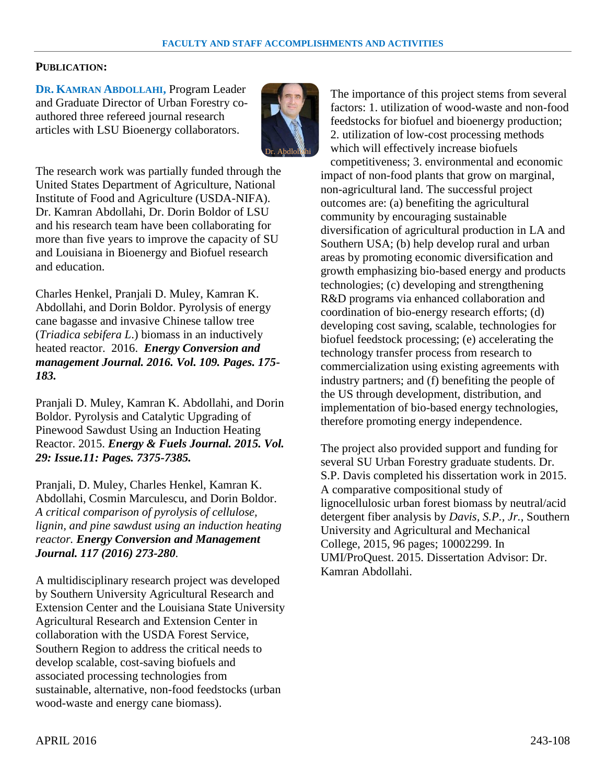## **PUBLICATION:**

**DR. KAMRAN ABDOLLAHI,** Program Leader and Graduate Director of Urban Forestry coauthored three refereed journal research articles with LSU Bioenergy collaborators.



The research work was partially funded through the United States Department of Agriculture, National Institute of Food and Agriculture (USDA-NIFA). Dr. Kamran Abdollahi, Dr. Dorin Boldor of LSU and his research team have been collaborating for more than five years to improve the capacity of SU and Louisiana in Bioenergy and Biofuel research and education.

Charles Henkel, Pranjali D. Muley, Kamran K. Abdollahi, and Dorin Boldor. Pyrolysis of energy cane bagasse and invasive Chinese tallow tree (*Triadica sebifera L*.) biomass in an inductively heated reactor. 2016. *Energy Conversion and management Journal. 2016. Vol. 109. Pages. 175- 183.* 

Pranjali D. Muley, Kamran K. Abdollahi, and Dorin Boldor. Pyrolysis and Catalytic Upgrading of Pinewood Sawdust Using an Induction Heating Reactor. 2015. *Energy & Fuels Journal. 2015. Vol. 29: Issue.11: Pages. 7375-7385.*

Pranjali, D. Muley, Charles Henkel, Kamran K. Abdollahi, Cosmin Marculescu, and Dorin Boldor. *A critical comparison of pyrolysis of cellulose, lignin, and pine sawdust using an induction heating reactor. Energy Conversion and Management Journal. 117 (2016) 273-280.* 

A multidisciplinary research project was developed by Southern University Agricultural Research and Extension Center and the Louisiana State University Agricultural Research and Extension Center in collaboration with the USDA Forest Service, Southern Region to address the critical needs to develop scalable, cost-saving biofuels and associated processing technologies from sustainable, alternative, non-food feedstocks (urban wood-waste and energy cane biomass).

The importance of this project stems from several factors: 1. utilization of wood-waste and non-food feedstocks for biofuel and bioenergy production; 2. utilization of low-cost processing methods which will effectively increase biofuels competitiveness; 3. environmental and economic

impact of non-food plants that grow on marginal, non-agricultural land. The successful project outcomes are: (a) benefiting the agricultural community by encouraging sustainable diversification of agricultural production in LA and Southern USA; (b) help develop rural and urban areas by promoting economic diversification and growth emphasizing bio-based energy and products technologies; (c) developing and strengthening R&D programs via enhanced collaboration and coordination of bio-energy research efforts; (d) developing cost saving, scalable, technologies for biofuel feedstock processing; (e) accelerating the technology transfer process from research to commercialization using existing agreements with industry partners; and (f) benefiting the people of the US through development, distribution, and implementation of bio-based energy technologies, therefore promoting energy independence.

The project also provided support and funding for several SU Urban Forestry graduate students. Dr. S.P. Davis completed his dissertation work in 2015. A comparative compositional study of lignocellulosic urban forest biomass by neutral/acid detergent fiber analysis by *Davis, S.P., Jr.*, Southern University and Agricultural and Mechanical College, 2015, 96 pages; 10002299. In UMI/ProQuest. 2015. Dissertation Advisor: Dr. Kamran Abdollahi.